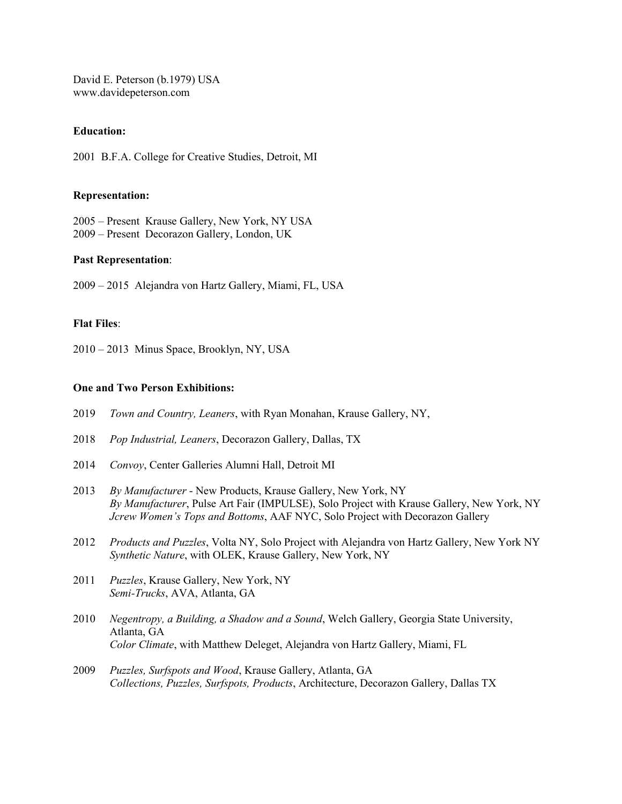David E. Peterson (b.1979) USA www.davidepeterson.com

## **Education:**

2001 B.F.A. College for Creative Studies, Detroit, MI

### **Representation:**

2005 – Present Krause Gallery, New York, NY USA 2009 – Present Decorazon Gallery, London, UK

### **Past Representation**:

2009 – 2015 Alejandra von Hartz Gallery, Miami, FL, USA

## **Flat Files**:

2010 – 2013 Minus Space, Brooklyn, NY, USA

## **One and Two Person Exhibitions:**

- 2019 *Town and Country, Leaners*, with Ryan Monahan, Krause Gallery, NY,
- 2018 *Pop Industrial, Leaners*, Decorazon Gallery, Dallas, TX
- 2014 *Convoy*, Center Galleries Alumni Hall, Detroit MI
- 2013 *By Manufacturer* New Products, Krause Gallery, New York, NY *By Manufacturer*, Pulse Art Fair (IMPULSE), Solo Project with Krause Gallery, New York, NY *Jcrew Women's Tops and Bottoms*, AAF NYC, Solo Project with Decorazon Gallery
- 2012 *Products and Puzzles*, Volta NY, Solo Project with Alejandra von Hartz Gallery, New York NY *Synthetic Nature*, with OLEK, Krause Gallery, New York, NY
- 2011 *Puzzles*, Krause Gallery, New York, NY  *Semi-Trucks*, AVA, Atlanta, GA
- 2010 *Negentropy, a Building, a Shadow and a Sound*, Welch Gallery, Georgia State University, Atlanta, GA *Color Climate*, with Matthew Deleget, Alejandra von Hartz Gallery, Miami, FL
- 2009 *Puzzles, Surfspots and Wood*, Krause Gallery, Atlanta, GA *Collections, Puzzles, Surfspots, Products*, Architecture, Decorazon Gallery, Dallas TX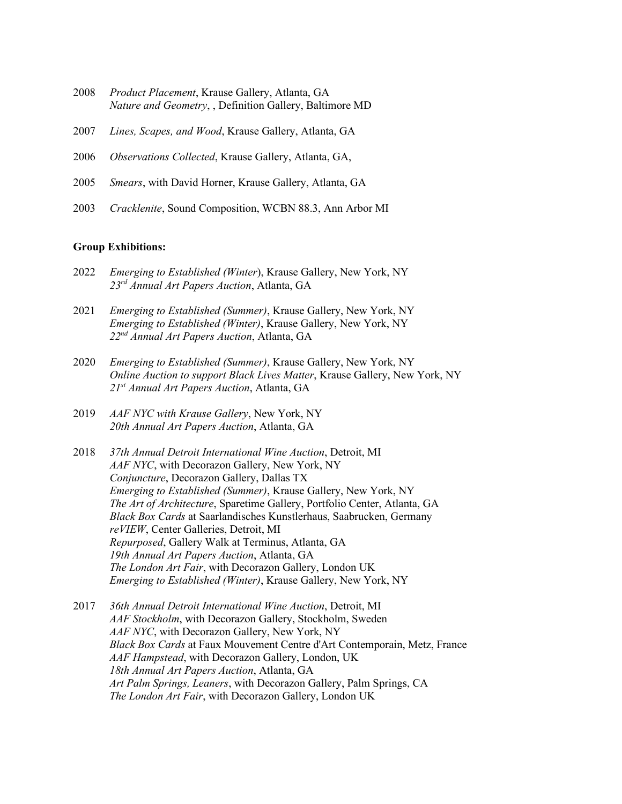- 2008 *Product Placement*, Krause Gallery, Atlanta, GA *Nature and Geometry*, , Definition Gallery, Baltimore MD
- 2007 *Lines, Scapes, and Wood*, Krause Gallery, Atlanta, GA
- 2006 *Observations Collected*, Krause Gallery, Atlanta, GA,
- 2005 *Smears*, with David Horner, Krause Gallery, Atlanta, GA
- 2003 *Cracklenite*, Sound Composition, WCBN 88.3, Ann Arbor MI

#### **Group Exhibitions:**

- 2022 *Emerging to Established (Winter*), Krause Gallery, New York, NY *23rd Annual Art Papers Auction*, Atlanta, GA
- 2021 *Emerging to Established (Summer)*, Krause Gallery, New York, NY *Emerging to Established (Winter)*, Krause Gallery, New York, NY *22nd Annual Art Papers Auction*, Atlanta, GA
- 2020 *Emerging to Established (Summer)*, Krause Gallery, New York, NY *Online Auction to support Black Lives Matter*, Krause Gallery, New York, NY *21st Annual Art Papers Auction*, Atlanta, GA
- 2019 *AAF NYC with Krause Gallery*, New York, NY *20th Annual Art Papers Auction*, Atlanta, GA
- 2018 *37th Annual Detroit International Wine Auction*, Detroit, MI *AAF NYC*, with Decorazon Gallery, New York, NY *Conjuncture*, Decorazon Gallery, Dallas TX *Emerging to Established (Summer)*, Krause Gallery, New York, NY *The Art of Architecture*, Sparetime Gallery, Portfolio Center, Atlanta, GA *Black Box Cards* at Saarlandisches Kunstlerhaus, Saabrucken, Germany *reVIEW*, Center Galleries, Detroit, MI *Repurposed*, Gallery Walk at Terminus, Atlanta, GA *19th Annual Art Papers Auction*, Atlanta, GA *The London Art Fair*, with Decorazon Gallery, London UK *Emerging to Established (Winter)*, Krause Gallery, New York, NY
- 2017 *36th Annual Detroit International Wine Auction*, Detroit, MI *AAF Stockholm*, with Decorazon Gallery, Stockholm, Sweden *AAF NYC*, with Decorazon Gallery, New York, NY *Black Box Cards* at Faux Mouvement Centre d'Art Contemporain, Metz, France *AAF Hampstead*, with Decorazon Gallery, London, UK *18th Annual Art Papers Auction*, Atlanta, GA *Art Palm Springs, Leaners*, with Decorazon Gallery, Palm Springs, CA *The London Art Fair*, with Decorazon Gallery, London UK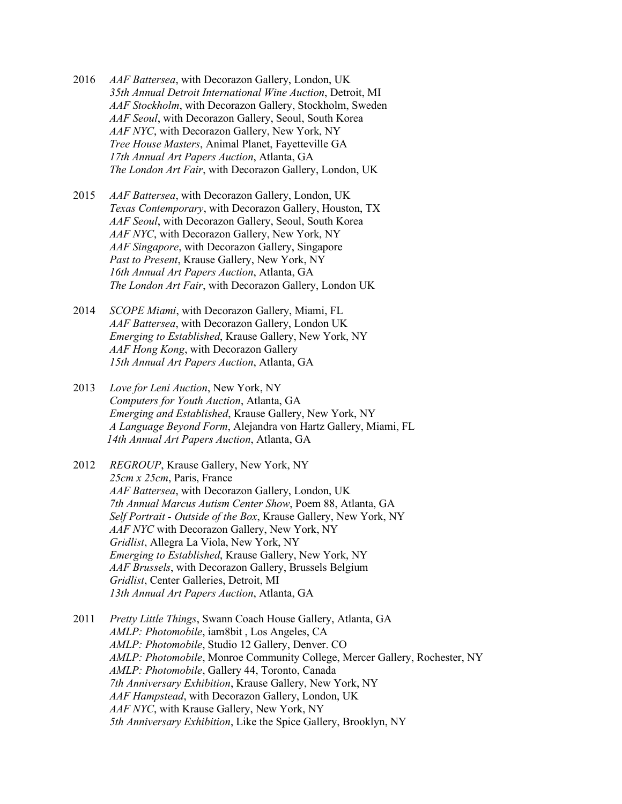- 2016 *AAF Battersea*, with Decorazon Gallery, London, UK *35th Annual Detroit International Wine Auction*, Detroit, MI *AAF Stockholm*, with Decorazon Gallery, Stockholm, Sweden *AAF Seoul*, with Decorazon Gallery, Seoul, South Korea *AAF NYC*, with Decorazon Gallery, New York, NY *Tree House Masters*, Animal Planet, Fayetteville GA *17th Annual Art Papers Auction*, Atlanta, GA *The London Art Fair*, with Decorazon Gallery, London, UK
- 2015 *AAF Battersea*, with Decorazon Gallery, London, UK *Texas Contemporary*, with Decorazon Gallery, Houston, TX *AAF Seoul*, with Decorazon Gallery, Seoul, South Korea  *AAF NYC*, with Decorazon Gallery, New York, NY *AAF Singapore*, with Decorazon Gallery, Singapore  *Past to Present*, Krause Gallery, New York, NY *16th Annual Art Papers Auction*, Atlanta, GA *The London Art Fair*, with Decorazon Gallery, London UK
- 2014 *SCOPE Miami*, with Decorazon Gallery, Miami, FL *AAF Battersea*, with Decorazon Gallery, London UK *Emerging to Established*, Krause Gallery, New York, NY *AAF Hong Kong*, with Decorazon Gallery *15th Annual Art Papers Auction*, Atlanta, GA
- 2013 *Love for Leni Auction*, New York, NY *Computers for Youth Auction*, Atlanta, GA  *Emerging and Established*, Krause Gallery, New York, NY *A Language Beyond Form*, Alejandra von Hartz Gallery, Miami, FL *14th Annual Art Papers Auction*, Atlanta, GA
- 2012 *REGROUP*, Krause Gallery, New York, NY *25cm x 25cm*, Paris, France *AAF Battersea*, with Decorazon Gallery, London, UK *7th Annual Marcus Autism Center Show*, Poem 88, Atlanta, GA *Self Portrait - Outside of the Box*, Krause Gallery, New York, NY *AAF NYC* with Decorazon Gallery, New York, NY *Gridlist*, Allegra La Viola, New York, NY *Emerging to Established*, Krause Gallery, New York, NY *AAF Brussels*, with Decorazon Gallery, Brussels Belgium *Gridlist*, Center Galleries, Detroit, MI *13th Annual Art Papers Auction*, Atlanta, GA
- 2011 *Pretty Little Things*, Swann Coach House Gallery, Atlanta, GA *AMLP: Photomobile*, iam8bit , Los Angeles, CA *AMLP: Photomobile*, Studio 12 Gallery, Denver. CO *AMLP: Photomobile*, Monroe Community College, Mercer Gallery, Rochester, NY *AMLP: Photomobile*, Gallery 44, Toronto, Canada *7th Anniversary Exhibition*, Krause Gallery, New York, NY  *AAF Hampstead*, with Decorazon Gallery, London, UK *AAF NYC*, with Krause Gallery, New York, NY *5th Anniversary Exhibition*, Like the Spice Gallery, Brooklyn, NY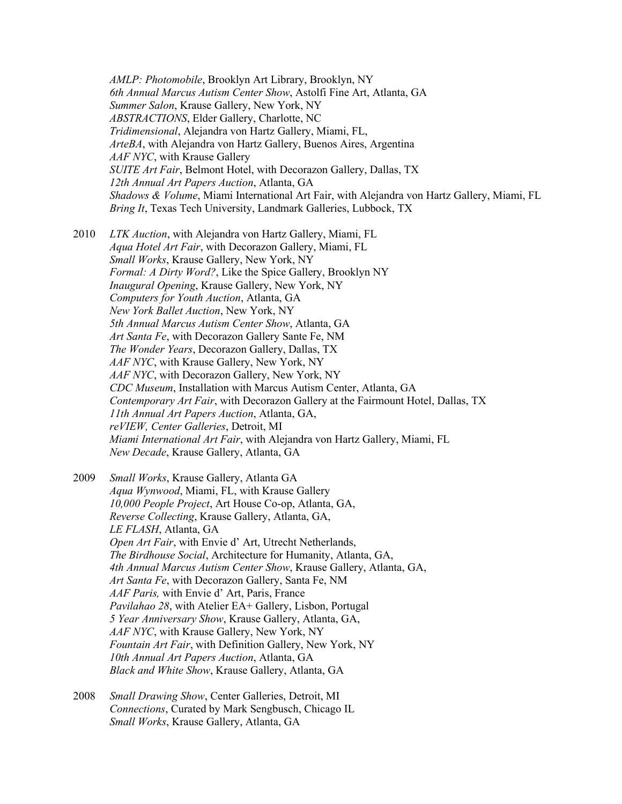*AMLP: Photomobile*, Brooklyn Art Library, Brooklyn, NY *6th Annual Marcus Autism Center Show*, Astolfi Fine Art, Atlanta, GA *Summer Salon*, Krause Gallery, New York, NY *ABSTRACTIONS*, Elder Gallery, Charlotte, NC *Tridimensional*, Alejandra von Hartz Gallery, Miami, FL, *ArteBA*, with Alejandra von Hartz Gallery, Buenos Aires, Argentina *AAF NYC*, with Krause Gallery  *SUITE Art Fair*, Belmont Hotel, with Decorazon Gallery, Dallas, TX *12th Annual Art Papers Auction*, Atlanta, GA  *Shadows & Volume*, Miami International Art Fair, with Alejandra von Hartz Gallery, Miami, FL *Bring It*, Texas Tech University, Landmark Galleries, Lubbock, TX

2010 *LTK Auction*, with Alejandra von Hartz Gallery, Miami, FL  *Aqua Hotel Art Fair*, with Decorazon Gallery, Miami, FL *Small Works*, Krause Gallery, New York, NY *Formal: A Dirty Word?*, Like the Spice Gallery, Brooklyn NY *Inaugural Opening*, Krause Gallery, New York, NY *Computers for Youth Auction*, Atlanta, GA *New York Ballet Auction*, New York, NY *5th Annual Marcus Autism Center Show*, Atlanta, GA *Art Santa Fe*, with Decorazon Gallery Sante Fe, NM *The Wonder Years*, Decorazon Gallery, Dallas, TX *AAF NYC*, with Krause Gallery, New York, NY *AAF NYC*, with Decorazon Gallery, New York, NY *CDC Museum*, Installation with Marcus Autism Center, Atlanta, GA *Contemporary Art Fair*, with Decorazon Gallery at the Fairmount Hotel, Dallas, TX *11th Annual Art Papers Auction*, Atlanta, GA, *reVIEW, Center Galleries*, Detroit, MI *Miami International Art Fair*, with Alejandra von Hartz Gallery, Miami, FL *New Decade*, Krause Gallery, Atlanta, GA

2009 *Small Works*, Krause Gallery, Atlanta GA *Aqua Wynwood*, Miami, FL, with Krause Gallery *10,000 People Project*, Art House Co-op, Atlanta, GA, *Reverse Collecting*, Krause Gallery, Atlanta, GA, *LE FLASH*, Atlanta, GA *Open Art Fair*, with Envie d' Art, Utrecht Netherlands, *The Birdhouse Social*, Architecture for Humanity, Atlanta, GA, *4th Annual Marcus Autism Center Show*, Krause Gallery, Atlanta, GA, *Art Santa Fe*, with Decorazon Gallery, Santa Fe, NM *AAF Paris,* with Envie d' Art, Paris, France *Pavilahao 28*, with Atelier EA+ Gallery, Lisbon, Portugal *5 Year Anniversary Show*, Krause Gallery, Atlanta, GA, *AAF NYC*, with Krause Gallery, New York, NY  *Fountain Art Fair*, with Definition Gallery, New York, NY *10th Annual Art Papers Auction*, Atlanta, GA *Black and White Show*, Krause Gallery, Atlanta, GA

2008 *Small Drawing Show*, Center Galleries, Detroit, MI  *Connections*, Curated by Mark Sengbusch, Chicago IL *Small Works*, Krause Gallery, Atlanta, GA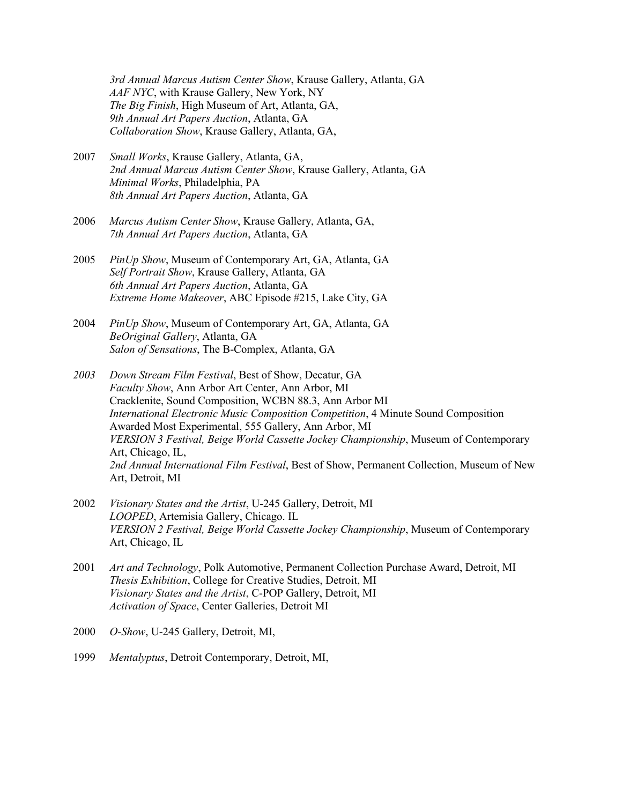*3rd Annual Marcus Autism Center Show*, Krause Gallery, Atlanta, GA *AAF NYC*, with Krause Gallery, New York, NY *The Big Finish*, High Museum of Art, Atlanta, GA, *9th Annual Art Papers Auction*, Atlanta, GA *Collaboration Show*, Krause Gallery, Atlanta, GA,

- 2007 *Small Works*, Krause Gallery, Atlanta, GA, *2nd Annual Marcus Autism Center Show*, Krause Gallery, Atlanta, GA *Minimal Works*, Philadelphia, PA *8th Annual Art Papers Auction*, Atlanta, GA
- 2006 *Marcus Autism Center Show*, Krause Gallery, Atlanta, GA, *7th Annual Art Papers Auction*, Atlanta, GA
- 2005 *PinUp Show*, Museum of Contemporary Art, GA, Atlanta, GA *Self Portrait Show*, Krause Gallery, Atlanta, GA *6th Annual Art Papers Auction*, Atlanta, GA *Extreme Home Makeover*, ABC Episode #215, Lake City, GA
- 2004 *PinUp Show*, Museum of Contemporary Art, GA, Atlanta, GA *BeOriginal Gallery*, Atlanta, GA *Salon of Sensations*, The B-Complex, Atlanta, GA
- *2003 Down Stream Film Festival*, Best of Show, Decatur, GA *Faculty Show*, Ann Arbor Art Center, Ann Arbor, MI Cracklenite, Sound Composition, WCBN 88.3, Ann Arbor MI *International Electronic Music Composition Competition*, 4 Minute Sound Composition Awarded Most Experimental, 555 Gallery, Ann Arbor, MI *VERSION 3 Festival, Beige World Cassette Jockey Championship*, Museum of Contemporary Art, Chicago, IL,  *2nd Annual International Film Festival*, Best of Show, Permanent Collection, Museum of New Art, Detroit, MI
- 2002 *Visionary States and the Artist*, U-245 Gallery, Detroit, MI *LOOPED*, Artemisia Gallery, Chicago. IL *VERSION 2 Festival, Beige World Cassette Jockey Championship*, Museum of Contemporary Art, Chicago, IL
- 2001 *Art and Technology*, Polk Automotive, Permanent Collection Purchase Award, Detroit, MI *Thesis Exhibition*, College for Creative Studies, Detroit, MI *Visionary States and the Artist*, C-POP Gallery, Detroit, MI *Activation of Space*, Center Galleries, Detroit MI
- 2000 *O-Show*, U-245 Gallery, Detroit, MI,
- 1999 *Mentalyptus*, Detroit Contemporary, Detroit, MI,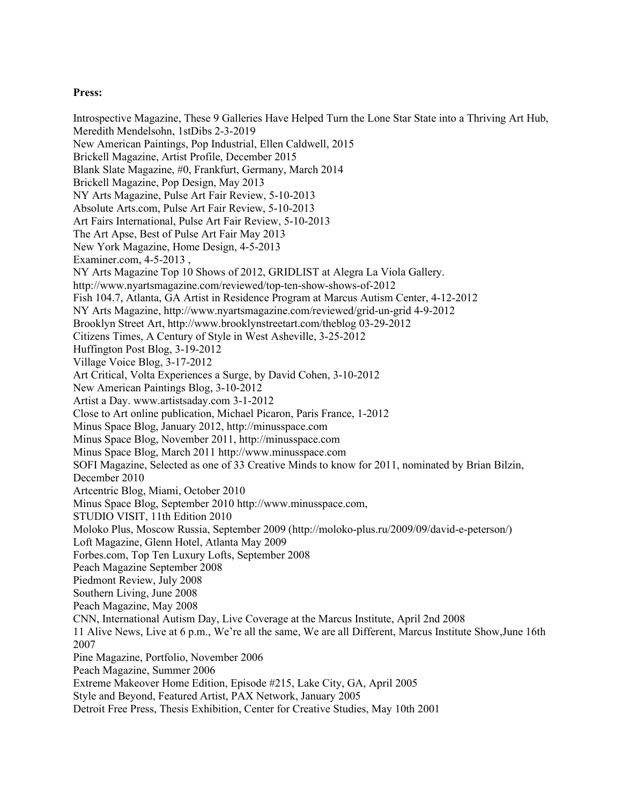# **Press:**

Introspective Magazine, These 9 Galleries Have Helped Turn the Lone Star State into a Thriving Art Hub, Meredith Mendelsohn, 1stDibs 2-3-2019 New American Paintings, Pop Industrial, Ellen Caldwell, 2015 Brickell Magazine, Artist Profile, December 2015 Blank Slate Magazine, #0, Frankfurt, Germany, March 2014 Brickell Magazine, Pop Design, May 2013 NY Arts Magazine, Pulse Art Fair Review, 5-10-2013 Absolute Arts.com, Pulse Art Fair Review, 5-10-2013 Art Fairs International, Pulse Art Fair Review, 5-10-2013 The Art Apse, Best of Pulse Art Fair May 2013 New York Magazine, Home Design, 4-5-2013 Examiner.com, 4-5-2013 , NY Arts Magazine Top 10 Shows of 2012, GRIDLIST at Alegra La Viola Gallery. http://www.nyartsmagazine.com/reviewed/top-ten-show-shows-of-2012 Fish 104.7, Atlanta, GA Artist in Residence Program at Marcus Autism Center, 4-12-2012 NY Arts Magazine, http://www.nyartsmagazine.com/reviewed/grid-un-grid 4-9-2012 Brooklyn Street Art, http://www.brooklynstreetart.com/theblog 03-29-2012 Citizens Times, A Century of Style in West Asheville, 3-25-2012 Huffington Post Blog, 3-19-2012 Village Voice Blog, 3-17-2012 Art Critical, Volta Experiences a Surge, by David Cohen, 3-10-2012 New American Paintings Blog, 3-10-2012 Artist a Day. www.artistsaday.com 3-1-2012 Close to Art online publication, Michael Picaron, Paris France, 1-2012 Minus Space Blog, January 2012, http://minusspace.com Minus Space Blog, November 2011, http://minusspace.com Minus Space Blog, March 2011 http://www.minusspace.com SOFI Magazine, Selected as one of 33 Creative Minds to know for 2011, nominated by Brian Bilzin, December 2010 Artcentric Blog, Miami, October 2010 Minus Space Blog, September 2010 http://www.minusspace.com, STUDIO VISIT, 11th Edition 2010 Moloko Plus, Moscow Russia, September 2009 (http://moloko-plus.ru/2009/09/david-e-peterson/) Loft Magazine, Glenn Hotel, Atlanta May 2009 Forbes.com, Top Ten Luxury Lofts, September 2008 Peach Magazine September 2008 Piedmont Review, July 2008 Southern Living, June 2008 Peach Magazine, May 2008 CNN, International Autism Day, Live Coverage at the Marcus Institute, April 2nd 2008 11 Alive News, Live at 6 p.m., We're all the same, We are all Different, Marcus Institute Show,June 16th 2007 Pine Magazine, Portfolio, November 2006 Peach Magazine, Summer 2006 Extreme Makeover Home Edition, Episode #215, Lake City, GA, April 2005 Style and Beyond, Featured Artist, PAX Network, January 2005 Detroit Free Press, Thesis Exhibition, Center for Creative Studies, May 10th 2001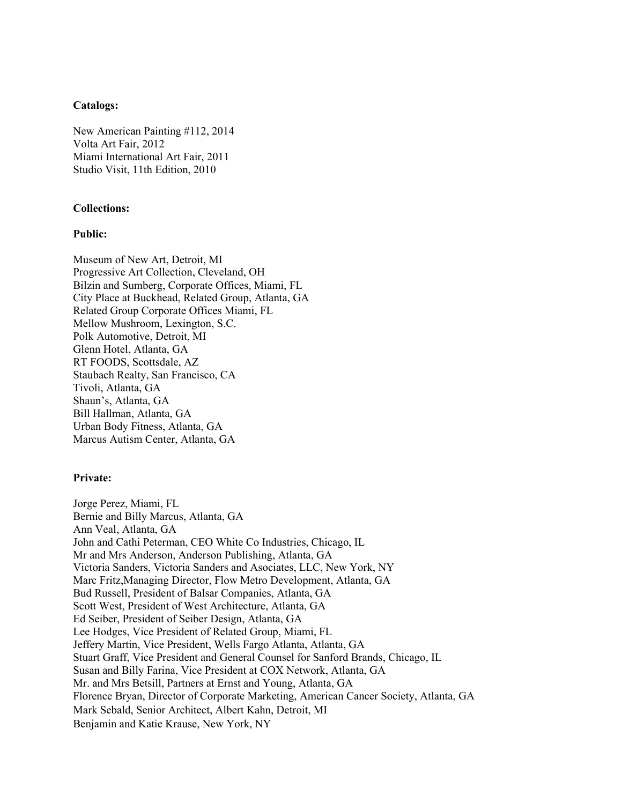## **Catalogs:**

New American Painting #112, 2014 Volta Art Fair, 2012 Miami International Art Fair, 2011 Studio Visit, 11th Edition, 2010

### **Collections:**

### **Public:**

Museum of New Art, Detroit, MI Progressive Art Collection, Cleveland, OH Bilzin and Sumberg, Corporate Offices, Miami, FL City Place at Buckhead, Related Group, Atlanta, GA Related Group Corporate Offices Miami, FL Mellow Mushroom, Lexington, S.C. Polk Automotive, Detroit, MI Glenn Hotel, Atlanta, GA RT FOODS, Scottsdale, AZ Staubach Realty, San Francisco, CA Tivoli, Atlanta, GA Shaun's, Atlanta, GA Bill Hallman, Atlanta, GA Urban Body Fitness, Atlanta, GA Marcus Autism Center, Atlanta, GA

# **Private:**

Jorge Perez, Miami, FL Bernie and Billy Marcus, Atlanta, GA Ann Veal, Atlanta, GA John and Cathi Peterman, CEO White Co Industries, Chicago, IL Mr and Mrs Anderson, Anderson Publishing, Atlanta, GA Victoria Sanders, Victoria Sanders and Asociates, LLC, New York, NY Marc Fritz,Managing Director, Flow Metro Development, Atlanta, GA Bud Russell, President of Balsar Companies, Atlanta, GA Scott West, President of West Architecture, Atlanta, GA Ed Seiber, President of Seiber Design, Atlanta, GA Lee Hodges, Vice President of Related Group, Miami, FL Jeffery Martin, Vice President, Wells Fargo Atlanta, Atlanta, GA Stuart Graff, Vice President and General Counsel for Sanford Brands, Chicago, IL Susan and Billy Farina, Vice President at COX Network, Atlanta, GA Mr. and Mrs Betsill, Partners at Ernst and Young, Atlanta, GA Florence Bryan, Director of Corporate Marketing, American Cancer Society, Atlanta, GA Mark Sebald, Senior Architect, Albert Kahn, Detroit, MI Benjamin and Katie Krause, New York, NY